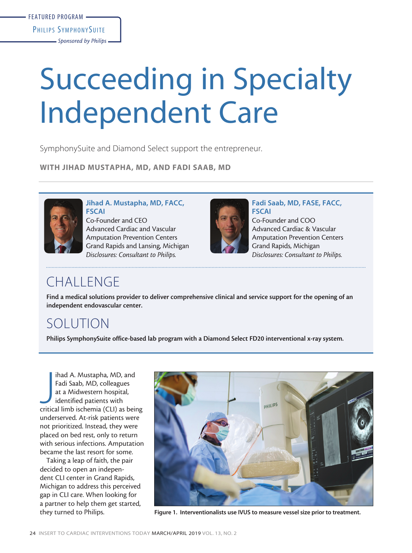# Succeeding in Specialty Independent Care

SymphonySuite and Diamond Select support the entrepreneur.

WITH JIHAD MUSTAPHA, MD, AND FADI SAAB, MD



#### Jihad A. Mustapha, MD, FACC, FSCAI

Co-Founder and CEO Advanced Cardiac and Vascular Amputation Prevention Centers Grand Rapids and Lansing, Michigan *Disclosures: Consultant to Philips.*



Fadi Saab, MD, FASE, FACC, **FSCAI** Co-Founder and COO Advanced Cardiac & Vascular Amputation Prevention Centers Grand Rapids, Michigan *Disclosures: Consultant to Philips.*

# CHALLENGE

Find a medical solutions provider to deliver comprehensive clinical and service support for the opening of an independent endovascular center.

# SOLUTION

Philips SymphonySuite office-based lab program with a Diamond Select FD20 interventional x-ray system.

ihad A. Mustapha, MD, and<br>Fadi Saab, MD, colleagues<br>at a Midwestern hospital,<br>identified patients with<br>critical limb ischemia (CLI) as being ihad A. Mustapha, MD, and Fadi Saab, MD, colleagues at a Midwestern hospital, identified patients with underserved. At-risk patients were not prioritized. Instead, they were placed on bed rest, only to return with serious infections. Amputation became the last resort for some.

Taking a leap of faith, the pair decided to open an independent CLI center in Grand Rapids, Michigan to address this perceived gap in CLI care. When looking for a partner to help them get started, they turned to Philips.



Figure 1. Interventionalists use IVUS to measure vessel size prior to treatment.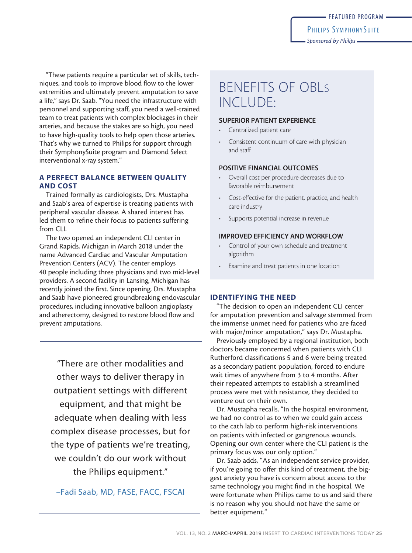"These patients require a particular set of skills, techniques, and tools to improve blood flow to the lower extremities and ultimately prevent amputation to save a life," says Dr. Saab. "You need the infrastructure with personnel and supporting staff, you need a well-trained team to treat patients with complex blockages in their arteries, and because the stakes are so high, you need to have high-quality tools to help open those arteries. That's why we turned to Philips for support through their SymphonySuite program and Diamond Select interventional x-ray system."

# A PERFECT BALANCE BETWEEN QUALITY AND COST

Trained formally as cardiologists, Drs. Mustapha and Saab's area of expertise is treating patients with peripheral vascular disease. A shared interest has led them to refine their focus to patients suffering from CLI.

The two opened an independent CLI center in Grand Rapids, Michigan in March 2018 under the name Advanced Cardiac and Vascular Amputation Prevention Centers (ACV). The center employs 40 people including three physicians and two mid-level providers. A second facility in Lansing, Michigan has recently joined the first. Since opening, Drs. Mustapha and Saab have pioneered groundbreaking endovascular procedures, including innovative balloon angioplasty and atherectomy, designed to restore blood flow and prevent amputations.

"There are other modalities and other ways to deliver therapy in outpatient settings with different equipment, and that might be adequate when dealing with less complex disease processes, but for the type of patients we're treating, we couldn't do our work without the Philips equipment."

–Fadi Saab, MD, FASE, FACC, FSCAI

# BENEFITS OF OBLs INCLUDE:

## SUPERIOR PATIENT EXPERIENCE

- Centralized patient care
- Consistent continuum of care with physician and staff

## POSITIVE FINANCIAL OUTCOMES

- Overall cost per procedure decreases due to favorable reimbursement
- Cost-effective for the patient, practice, and health care industry
- Supports potential increase in revenue

## IMPROVED EFFICIENCY AND WORKFLOW

- Control of your own schedule and treatment algorithm
- Examine and treat patients in one location

# IDENTIFYING THE NEED

"The decision to open an independent CLI center for amputation prevention and salvage stemmed from the immense unmet need for patients who are faced with major/minor amputation," says Dr. Mustapha.

Previously employed by a regional institution, both doctors became concerned when patients with CLI Rutherford classifications 5 and 6 were being treated as a secondary patient population, forced to endure wait times of anywhere from 3 to 4 months. After their repeated attempts to establish a streamlined process were met with resistance, they decided to venture out on their own.

Dr. Mustapha recalls, "In the hospital environment, we had no control as to when we could gain access to the cath lab to perform high-risk interventions on patients with infected or gangrenous wounds. Opening our own center where the CLI patient is the primary focus was our only option."

Dr. Saab adds, "As an independent service provider, if you're going to offer this kind of treatment, the biggest anxiety you have is concern about access to the same technology you might find in the hospital. We were fortunate when Philips came to us and said there is no reason why you should not have the same or better equipment."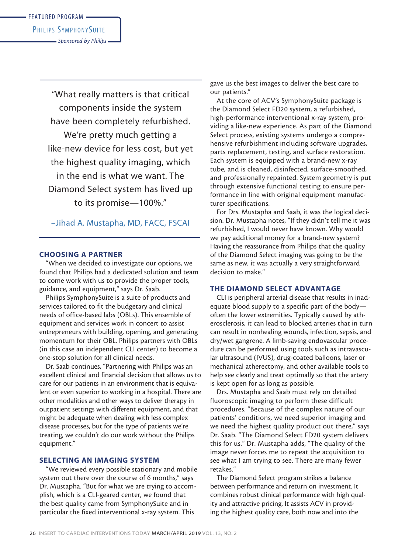*Sponsored by Philips*

"What really matters is that critical components inside the system have been completely refurbished. We're pretty much getting a like-new device for less cost, but yet the highest quality imaging, which in the end is what we want. The Diamond Select system has lived up to its promise—100%."

# –Jihad A. Mustapha, MD, FACC, FSCAI

## CHOOSING A PARTNER

"When we decided to investigate our options, we found that Philips had a dedicated solution and team to come work with us to provide the proper tools, guidance, and equipment," says Dr. Saab.

Philips SymphonySuite is a suite of products and services tailored to fit the budgetary and clinical needs of office-based labs (OBLs). This ensemble of equipment and services work in concert to assist entrepreneurs with building, opening, and generating momentum for their OBL. Philips partners with OBLs (in this case an independent CLI center) to become a one-stop solution for all clinical needs.

Dr. Saab continues, "Partnering with Philips was an excellent clinical and financial decision that allows us to care for our patients in an environment that is equivalent or even superior to working in a hospital. There are other modalities and other ways to deliver therapy in outpatient settings with different equipment, and that might be adequate when dealing with less complex disease processes, but for the type of patients we're treating, we couldn't do our work without the Philips equipment."

## SELECTING AN IMAGING SYSTEM

"We reviewed every possible stationary and mobile system out there over the course of 6 months," says Dr. Mustapha. "But for what we are trying to accomplish, which is a CLI-geared center, we found that the best quality came from SymphonySuite and in particular the fixed interventional x-ray system. This

gave us the best images to deliver the best care to our patients."

At the core of ACV's SymphonySuite package is the Diamond Select FD20 system, a refurbished, high-performance interventional x-ray system, providing a like-new experience. As part of the Diamond Select process, existing systems undergo a comprehensive refurbishment including software upgrades, parts replacement, testing, and surface restoration. Each system is equipped with a brand-new x-ray tube, and is cleaned, disinfected, surface-smoothed, and professionally repainted. System geometry is put through extensive functional testing to ensure performance in line with original equipment manufacturer specifications.

For Drs. Mustapha and Saab, it was the logical decision. Dr. Mustapha notes, "If they didn't tell me it was refurbished, I would never have known. Why would we pay additional money for a brand-new system? Having the reassurance from Philips that the quality of the Diamond Select imaging was going to be the same as new, it was actually a very straightforward decision to make."

#### THE DIAMOND SELECT ADVANTAGE

CLI is peripheral arterial disease that results in inadequate blood supply to a specific part of the body often the lower extremities. Typically caused by atherosclerosis, it can lead to blocked arteries that in turn can result in nonhealing wounds, infection, sepsis, and dry/wet gangrene. A limb-saving endovascular procedure can be performed using tools such as intravascular ultrasound (IVUS), drug-coated balloons, laser or mechanical atherectomy, and other available tools to help see clearly and treat optimally so that the artery is kept open for as long as possible.

Drs. Mustapha and Saab must rely on detailed fluoroscopic imaging to perform these difficult procedures. "Because of the complex nature of our patients' conditions, we need superior imaging and we need the highest quality product out there," says Dr. Saab. "The Diamond Select FD20 system delivers this for us." Dr. Mustapha adds, "The quality of the image never forces me to repeat the acquisition to see what I am trying to see. There are many fewer retakes."

The Diamond Select program strikes a balance between performance and return on investment. It combines robust clinical performance with high quality and attractive pricing. It assists ACV in providing the highest quality care, both now and into the